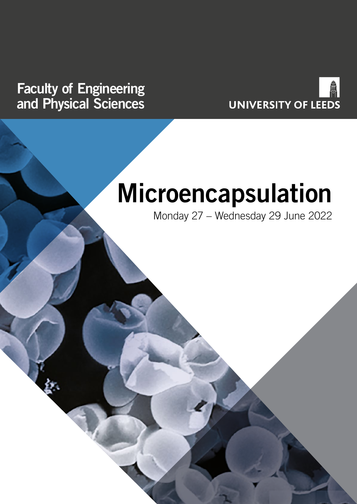## **Faculty of Engineering and Physical Sciences**



# **Microencapsulation**

Monday 27 – Wednesday 29 June 2022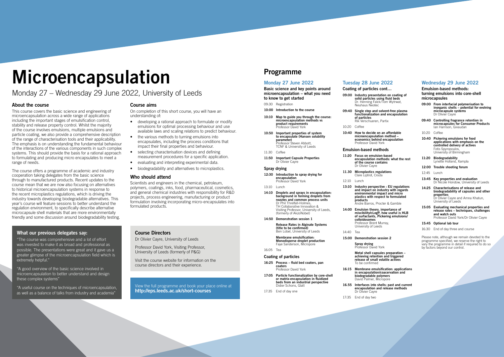# **Microencapsulation**

### Monday 27 – Wednesday 29 June 2022, University of Leeds

### **About the course**

This course covers the basic science and engineering of microencapsulation across a wide range of applications including the important stages of emulsification control, stability and release property control. Whilst the majority of the course involves emulsions, multiple emulsions and particle coating, we also provide a comprehensive description of the range of characterisation tools and their applicability. The emphasis is on understanding the fundamental behaviour of the interactions of the various components in such complex systems. This should provide the basis for a rational approach to formulating and producing micro encapsulates to meet a range of needs.

The course offers a programme of academic and industry cooperation taking delegates from the basic science through to manufactured products. Recent updates to the course mean that we are now also focusing on alternatives to historical microencapsulation systems in response to the recent microplastics regulations, which is driving the industry towards developing biodegradable alternatives. This year's course will feature sessions to better understand the regulation environment, to specifically describe alternative microcapsule shell materials that are more environmentally friendly and some discussion around biodegradability testing.

- **10:00 Introduction to the course**
- **10:10 Map to guide you through the course: microencapsulation methods vs product requirements** Professor David York
- **10:50 Important properties of system to encapsulate (Hansen solubility parameter)** Professor Steven Abbott, TCNF & University of Leeds
- 11:30 Coffee
- **11:50 Important Capsule Properties Olivier Cavre**

### **Course aims**

On completion of this short course, you will have an understanding of:

> **Membrane emulsification: Monodisperse droplet production Fave Sanderson, Micropore**

- developing a rational approach to formulate or modify emulsions for optimal processing behaviour and use available laws and scaling relations to predict behaviour.
- the various methods to turning emulsions into encapsulates, including the process conditions that impact their final properties and behaviour.
- selecting characterisation devices and defining measurement procedures for a specific application.
- evaluating and interpreting experimental data.
- biodegradability and alternatives to microplastics.

### **Who should attend**

Dr Olivier Cayre **11.30 Microplastics regulations** Clare Liptrot, Croda

Scientists and engineers in the chemical, petroleum, polymers, coatings, inks, food, pharmaceutical, cosmetics, and general chemical industries with responsibility for R&D projects, process engineering, manufacturing or product formulation involving incorporating micro-encapsulates into formulated products.

> **Spray drying Professor David York**

### **Programme**

### **Monday 27 June 2022**

**16:15 Membrane emulsification: applications in encapsulation/coacervation and biodegradable polymers** David Palmer, Micropore

**Basic science and key points around microencapsulation – what you need to know to get started**

09:30 Registration

#### **Spray drying**

**12:30 Introduction to spray drying for encapsulation** Professor David York

13:10 Lunch

- **14:10 Droplets and sprays in encapsulation: background in forming droplets from nozzles and common process units** Dr Phil Threlfall-Holmes, TH Collaborative Innovation & Visiting Professor, University of Leeds, (formerly of AkzoNobel)
- **14:50 Demonstration session 1**

**Release Rates in Alginate Systems (title to be confirmed)** Ben Lobel, University of Leeds

16:05 Tea

#### **Coating of particles**

- **16:25 Process fluid bed coaters, pan coaters** Professor David York
- **17:05 Particle functionalization by core-shell or matrix-encapsulation in fluidized beds from an industrial perspective** Didier Schons, Glatt
- 17:35 End of day one

### **Tuesday 28 June 2022**

**Coating of particles cont… 09:00 Industry presentation on coating of** 

**solid particles using fluid beds**

Dr. Henning Falck/Tom Wytrwat, Neuhaus Neotec

**09:40 Single step and solvent-free plasma of particles**

### **functionalization and encapsulation**

Rik Verschueren, Partix

10:20 Coffee **10:40 How to decide on an affordable microencapsulation method – economics behind encapsulation**

### **Emulsion-based methods**

## **11:20 Focus on emulsion-based**

- Professor David York
- **encapsulation methods: what the rest of the course contains**
	-

12:10 Lunch

### **13:10 Industry perspective : EU regulations and impact on industry with regards**

**environmental impact and micro plastics with respect to formulated products** Andre Barros, Procter & Gamble

**14:00 Emulsion theory, importance of miscibility/cLogP, how useful is HLB of surfactants, Pickering emulsions/ colloidosomes** Professor Brent Murray, University of Leeds

14:40 Tea

**15:00 Demonstration session 2**

**Metal shell capsules preparation – achieving retention and triggered release of small volatile actives** To be confirmed

**16.55 Interfaces into shells: past and current** 

- **encapsulation and release methods** Dr Olivier Cayre
- 17:35 End of day two

### **Wednesday 29 June 2022**

#### **Emulsion-based methods: turning emulsions into core-shell microcapsules**

- **09:00 From interfacial polymerisation to inorganic shells – potential for evolving microcapsule systems** Dr Olivier Cayre
- **09:40 Controlling fragrance retention in microcapsules for Consumer Products** Ian Harrison, Givaudan
- 10:20 Coffee
- **10:40 Pickering emulsions for food applications with emphasis on the controlled delivery of actives** Fotis Spyropoulos, University of Birmingham
- **11:20 Biodegradability** Lynette Holland, Xampla
- **12:00 Trouble shooting forum**
- 12:45 Lunch
- **13:45 Key properties and evaluation** Dr Nicole Hondow, University of Leeds
- **14:25 Characterisations of release and biodegradability of capsules and other properties** Dr Olivier Cayre and Amna Khatun, University of Leeds
- **15:05 Evaluating mechanical properties and release rates – techniques, challenges and watch outs** Professor David York/Dr Olivier Cayre
- **15:45 Optional lab tour**
- 16:30 End of day three and course

Please note, although we remain devoted to the programme specified, we reserve the right to vary the programme in detail if required to do so by factors beyond our control.

View the full programme and book your place online at **http://eps.leeds.ac.uk/short-courses**

### **Course Directors**

Dr Olivier Cayre, University of Leeds

Professor David York, Visiting Professor, University of Leeds (formerly of P&G)

Visit the course website for information on the course directors and their experience.

### **What our previous delegates say:**

"The course was comprehensive and a lot of effort was invested to make it as broad and professional as possible. The presentations were great and it gave us a greater glimpse of the microencapsulation field which is extremely helpful."

"A good overview of the basic science involved in microencapsulation to better understand and design these complex systems"

"A useful course on the techniques of microencapsulation, as well as a balance of talks from industry and academia"